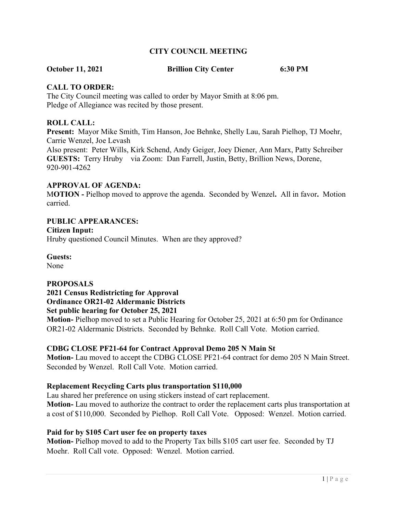## **CITY COUNCIL MEETING**

**October 11, 2021 Brillion City Center 6:30 PM**

#### **CALL TO ORDER:**

The City Council meeting was called to order by Mayor Smith at 8:06 pm. Pledge of Allegiance was recited by those present.

#### **ROLL CALL:**

**Present:** Mayor Mike Smith, Tim Hanson, Joe Behnke, Shelly Lau, Sarah Pielhop, TJ Moehr, Carrie Wenzel, Joe Levash Also present: Peter Wills, Kirk Schend, Andy Geiger, Joey Diener, Ann Marx, Patty Schreiber **GUESTS:** Terry Hruby via Zoom: Dan Farrell, Justin, Betty, Brillion News, Dorene, 920-901-4262

#### **APPROVAL OF AGENDA:**

M**OTION -** Pielhop moved to approve the agenda. Seconded by Wenzel**.** All in favor**.** Motion carried.

#### **PUBLIC APPEARANCES:**

#### **Citizen Input:**

Hruby questioned Council Minutes. When are they approved?

**Guests:**

None

#### **PROPOSALS**

**2021 Census Redistricting for Approval Ordinance OR21-02 Aldermanic Districts Set public hearing for October 25, 2021**

**Motion-** Pielhop moved to set a Public Hearing for October 25, 2021 at 6:50 pm for Ordinance OR21-02 Aldermanic Districts. Seconded by Behnke. Roll Call Vote. Motion carried.

#### **CDBG CLOSE PF21-64 for Contract Approval Demo 205 N Main St**

**Motion-** Lau moved to accept the CDBG CLOSE PF21-64 contract for demo 205 N Main Street. Seconded by Wenzel. Roll Call Vote. Motion carried.

#### **Replacement Recycling Carts plus transportation \$110,000**

Lau shared her preference on using stickers instead of cart replacement. **Motion-** Lau moved to authorize the contract to order the replacement carts plus transportation at a cost of \$110,000. Seconded by Pielhop. Roll Call Vote. Opposed: Wenzel. Motion carried.

#### **Paid for by \$105 Cart user fee on property taxes**

**Motion-** Pielhop moved to add to the Property Tax bills \$105 cart user fee. Seconded by TJ Moehr. Roll Call vote. Opposed: Wenzel. Motion carried.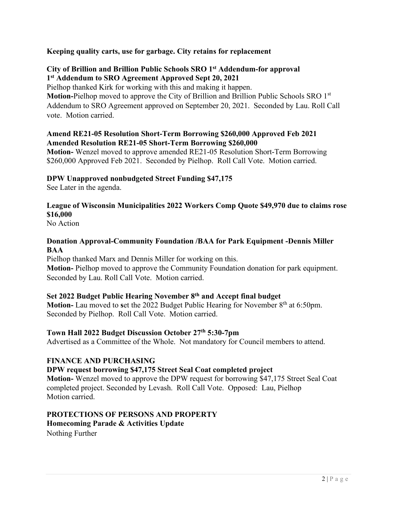## **Keeping quality carts, use for garbage. City retains for replacement**

#### **City of Brillion and Brillion Public Schools SRO 1st Addendum-for approval 1 st Addendum to SRO Agreement Approved Sept 20, 2021**

Pielhop thanked Kirk for working with this and making it happen.

**Motion-**Pielhop moved to approve the City of Brillion and Brillion Public Schools SRO 1st Addendum to SRO Agreement approved on September 20, 2021. Seconded by Lau. Roll Call vote. Motion carried.

#### **Amend RE21-05 Resolution Short-Term Borrowing \$260,000 Approved Feb 2021 Amended Resolution RE21-05 Short-Term Borrowing \$260,000**

**Motion-** Wenzel moved to approve amended RE21-05 Resolution Short-Term Borrowing \$260,000 Approved Feb 2021. Seconded by Pielhop. Roll Call Vote. Motion carried.

## **DPW Unapproved nonbudgeted Street Funding \$47,175**

See Later in the agenda.

# **League of Wisconsin Municipalities 2022 Workers Comp Quote \$49,970 due to claims rose \$16,000**

No Action

## **Donation Approval-Community Foundation /BAA for Park Equipment -Dennis Miller BAA**

Pielhop thanked Marx and Dennis Miller for working on this. **Motion-** Pielhop moved to approve the Community Foundation donation for park equipment. Seconded by Lau. Roll Call Vote. Motion carried.

## **Set 2022 Budget Public Hearing November 8th and Accept final budget**

**Motion-** Lau moved to set the 2022 Budget Public Hearing for November 8<sup>th</sup> at 6:50pm. Seconded by Pielhop. Roll Call Vote. Motion carried.

## **Town Hall 2022 Budget Discussion October 27th 5:30-7pm**

Advertised as a Committee of the Whole. Not mandatory for Council members to attend.

## **FINANCE AND PURCHASING**

## **DPW request borrowing \$47,175 Street Seal Coat completed project**

**Motion-** Wenzel moved to approve the DPW request for borrowing \$47,175 Street Seal Coat completed project. Seconded by Levash. Roll Call Vote. Opposed: Lau, Pielhop Motion carried.

## **PROTECTIONS OF PERSONS AND PROPERTY Homecoming Parade & Activities Update** Nothing Further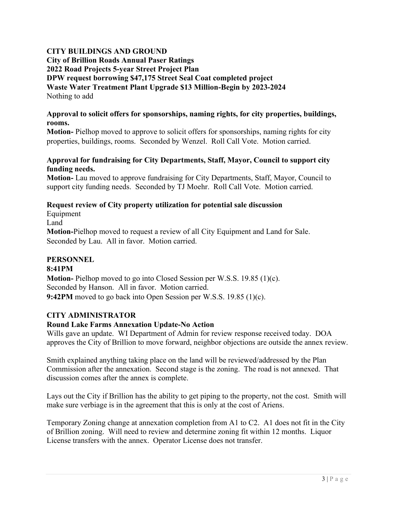# **CITY BUILDINGS AND GROUND**

**City of Brillion Roads Annual Paser Ratings 2022 Road Projects 5-year Street Project Plan DPW request borrowing \$47,175 Street Seal Coat completed project Waste Water Treatment Plant Upgrade \$13 Million-Begin by 2023-2024** Nothing to add

#### **Approval to solicit offers for sponsorships, naming rights, for city properties, buildings, rooms.**

**Motion-** Pielhop moved to approve to solicit offers for sponsorships, naming rights for city properties, buildings, rooms. Seconded by Wenzel. Roll Call Vote. Motion carried.

#### **Approval for fundraising for City Departments, Staff, Mayor, Council to support city funding needs.**

**Motion-** Lau moved to approve fundraising for City Departments, Staff, Mayor, Council to support city funding needs. Seconded by TJ Moehr. Roll Call Vote. Motion carried.

# **Request review of City property utilization for potential sale discussion**

Equipment Land

**Motion-**Pielhop moved to request a review of all City Equipment and Land for Sale. Seconded by Lau. All in favor. Motion carried.

## **PERSONNEL**

## **8:41PM**

**Motion-** Pielhop moved to go into Closed Session per W.S.S. 19.85 (1)(c). Seconded by Hanson. All in favor. Motion carried. **9:42PM** moved to go back into Open Session per W.S.S. 19.85 (1)(c).

## **CITY ADMINISTRATOR**

## **Round Lake Farms Annexation Update-No Action**

Wills gave an update. WI Department of Admin for review response received today. DOA approves the City of Brillion to move forward, neighbor objections are outside the annex review.

Smith explained anything taking place on the land will be reviewed/addressed by the Plan Commission after the annexation. Second stage is the zoning. The road is not annexed. That discussion comes after the annex is complete.

Lays out the City if Brillion has the ability to get piping to the property, not the cost. Smith will make sure verbiage is in the agreement that this is only at the cost of Ariens.

Temporary Zoning change at annexation completion from A1 to C2. A1 does not fit in the City of Brillion zoning. Will need to review and determine zoning fit within 12 months. Liquor License transfers with the annex. Operator License does not transfer.